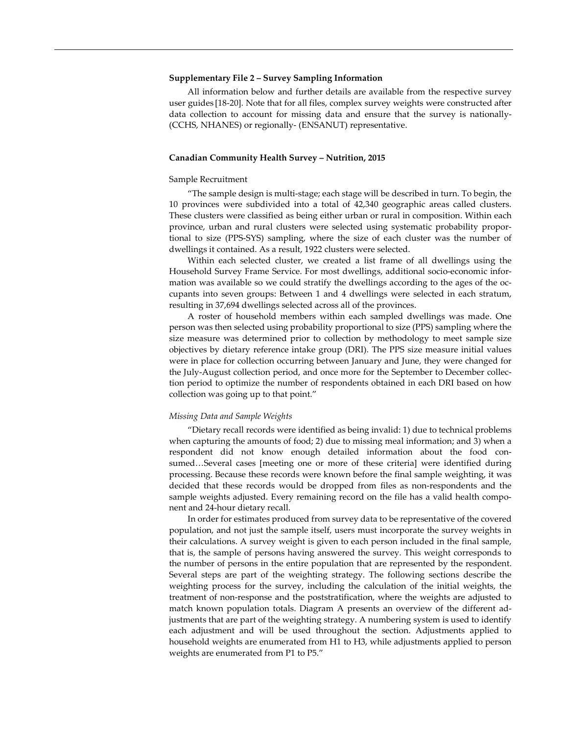## **Supplementary File 2 – Survey Sampling Information**

All information below and further details are available from the respective survey user guides [18-20]. Note that for all files, complex survey weights were constructed after data collection to account for missing data and ensure that the survey is nationally- (CCHS, NHANES) or regionally- (ENSANUT) representative.

# **Canadian Community Health Survey – Nutrition, 2015**

#### Sample Recruitment

"The sample design is multi-stage; each stage will be described in turn. To begin, the 10 provinces were subdivided into a total of 42,340 geographic areas called clusters. These clusters were classified as being either urban or rural in composition. Within each province, urban and rural clusters were selected using systematic probability proportional to size (PPS-SYS) sampling, where the size of each cluster was the number of dwellings it contained. As a result, 1922 clusters were selected.

Within each selected cluster, we created a list frame of all dwellings using the Household Survey Frame Service. For most dwellings, additional socio-economic information was available so we could stratify the dwellings according to the ages of the occupants into seven groups: Between 1 and 4 dwellings were selected in each stratum, resulting in 37,694 dwellings selected across all of the provinces.

A roster of household members within each sampled dwellings was made. One person was then selected using probability proportional to size (PPS) sampling where the size measure was determined prior to collection by methodology to meet sample size objectives by dietary reference intake group (DRI). The PPS size measure initial values were in place for collection occurring between January and June, they were changed for the July-August collection period, and once more for the September to December collection period to optimize the number of respondents obtained in each DRI based on how collection was going up to that point."

# *Missing Data and Sample Weights*

"Dietary recall records were identified as being invalid: 1) due to technical problems when capturing the amounts of food; 2) due to missing meal information; and 3) when a respondent did not know enough detailed information about the food consumed…Several cases [meeting one or more of these criteria] were identified during processing. Because these records were known before the final sample weighting, it was decided that these records would be dropped from files as non-respondents and the sample weights adjusted. Every remaining record on the file has a valid health component and 24-hour dietary recall.

In order for estimates produced from survey data to be representative of the covered population, and not just the sample itself, users must incorporate the survey weights in their calculations. A survey weight is given to each person included in the final sample, that is, the sample of persons having answered the survey. This weight corresponds to the number of persons in the entire population that are represented by the respondent. Several steps are part of the weighting strategy. The following sections describe the weighting process for the survey, including the calculation of the initial weights, the treatment of non-response and the poststratification, where the weights are adjusted to match known population totals. Diagram A presents an overview of the different adjustments that are part of the weighting strategy. A numbering system is used to identify each adjustment and will be used throughout the section. Adjustments applied to household weights are enumerated from H1 to H3, while adjustments applied to person weights are enumerated from P1 to P5."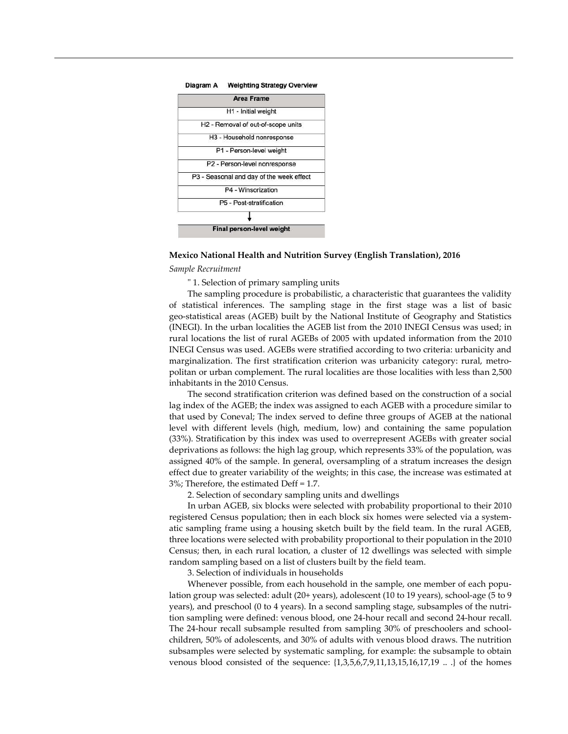

#### Diagram A Weighting Strategy Overview

# **Mexico National Health and Nutrition Survey (English Translation), 2016**

# *Sample Recruitment*

" 1. Selection of primary sampling units

The sampling procedure is probabilistic, a characteristic that guarantees the validity of statistical inferences. The sampling stage in the first stage was a list of basic geo-statistical areas (AGEB) built by the National Institute of Geography and Statistics (INEGI). In the urban localities the AGEB list from the 2010 INEGI Census was used; in rural locations the list of rural AGEBs of 2005 with updated information from the 2010 INEGI Census was used. AGEBs were stratified according to two criteria: urbanicity and marginalization. The first stratification criterion was urbanicity category: rural, metropolitan or urban complement. The rural localities are those localities with less than 2,500 inhabitants in the 2010 Census.

The second stratification criterion was defined based on the construction of a social lag index of the AGEB; the index was assigned to each AGEB with a procedure similar to that used by Coneval; The index served to define three groups of AGEB at the national level with different levels (high, medium, low) and containing the same population (33%). Stratification by this index was used to overrepresent AGEBs with greater social deprivations as follows: the high lag group, which represents 33% of the population, was assigned 40% of the sample. In general, oversampling of a stratum increases the design effect due to greater variability of the weights; in this case, the increase was estimated at 3%; Therefore, the estimated Deff = 1.7.

2. Selection of secondary sampling units and dwellings

In urban AGEB, six blocks were selected with probability proportional to their 2010 registered Census population; then in each block six homes were selected via a systematic sampling frame using a housing sketch built by the field team. In the rural AGEB, three locations were selected with probability proportional to their population in the 2010 Census; then, in each rural location, a cluster of 12 dwellings was selected with simple random sampling based on a list of clusters built by the field team.

3. Selection of individuals in households

Whenever possible, from each household in the sample, one member of each population group was selected: adult (20+ years), adolescent (10 to 19 years), school-age (5 to 9 years), and preschool (0 to 4 years). In a second sampling stage, subsamples of the nutrition sampling were defined: venous blood, one 24-hour recall and second 24-hour recall. The 24-hour recall subsample resulted from sampling 30% of preschoolers and schoolchildren, 50% of adolescents, and 30% of adults with venous blood draws. The nutrition subsamples were selected by systematic sampling, for example: the subsample to obtain venous blood consisted of the sequence: {1,3,5,6,7,9,11,13,15,16,17,19 .. .} of the homes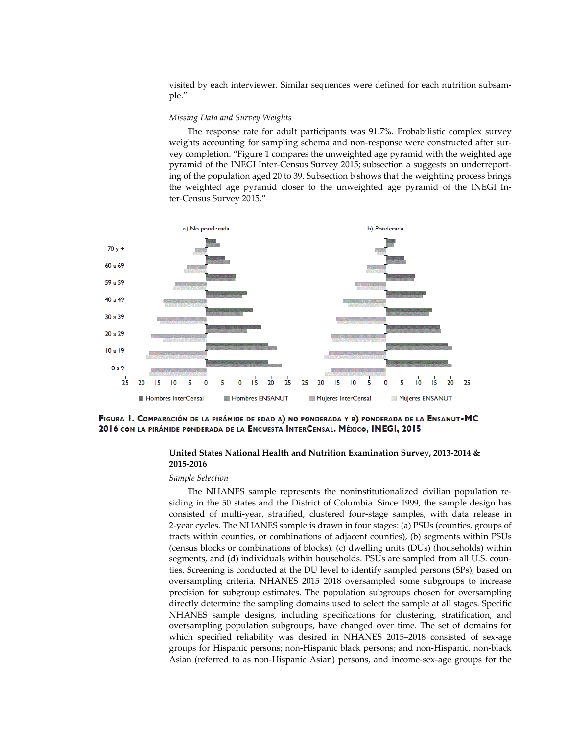visited by each interviewer. Similar sequences were defined for each nutrition subsample."

# *Missing Data and Survey Weights*

The response rate for adult participants was 91.7%. Probabilistic complex survey weights accounting for sampling schema and non-response were constructed after survey completion. "Figure 1 compares the unweighted age pyramid with the weighted age pyramid of the INEGI Inter-Census Survey 2015; subsection a suggests an underreporting of the population aged 20 to 39. Subsection b shows that the weighting process brings the weighted age pyramid closer to the unweighted age pyramid of the INEGI Inter-Census Survey 2015."



FIGURA 1. COMPARACIÓN DE LA PIRÁMIDE DE EDAD A) NO PONDERADA Y B) PONDERADA DE LA ENSANUT-MC 2016 CON LA PIRÁMIDE PONDERADA DE LA ENCUESTA INTERCENSAL. MÉXICO, INEGI, 2015

# **United States National Health and Nutrition Examination Survey, 2013-2014 & 2015-2016**

#### *Sample Selection*

The NHANES sample represents the noninstitutionalized civilian population residing in the 50 states and the District of Columbia. Since 1999, the sample design has consisted of multi-year, stratified, clustered four-stage samples, with data release in 2-year cycles. The NHANES sample is drawn in four stages: (a) PSUs (counties, groups of tracts within counties, or combinations of adjacent counties), (b) segments within PSUs (census blocks or combinations of blocks), (c) dwelling units (DUs) (households) within segments, and (d) individuals within households. PSUs are sampled from all U.S. counties. Screening is conducted at the DU level to identify sampled persons (SPs), based on oversampling criteria. NHANES 2015−2018 oversampled some subgroups to increase precision for subgroup estimates. The population subgroups chosen for oversampling directly determine the sampling domains used to select the sample at all stages. Specific NHANES sample designs, including specifications for clustering, stratification, and oversampling population subgroups, have changed over time. The set of domains for which specified reliability was desired in NHANES 2015–2018 consisted of sex-age groups for Hispanic persons; non-Hispanic black persons; and non-Hispanic, non-black Asian (referred to as non-Hispanic Asian) persons, and income-sex-age groups for the